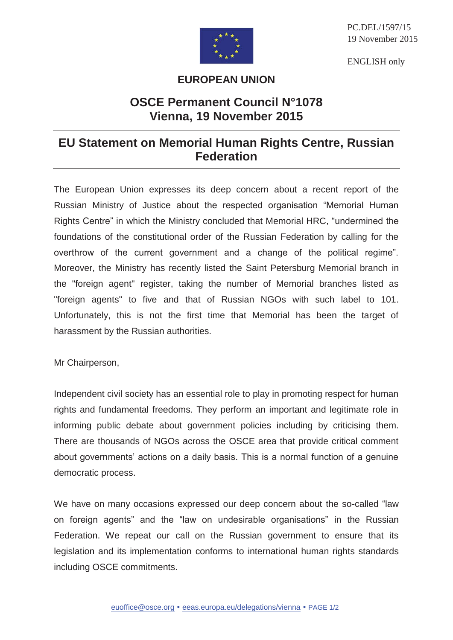

PC.DEL/1597/15 19 November 2015

ENGLISH only

## **EUROPEAN UNION**

## **OSCE Permanent Council N°1078 Vienna, 19 November 2015**

## **EU Statement on Memorial Human Rights Centre, Russian Federation**

The European Union expresses its deep concern about a recent report of the Russian Ministry of Justice about the respected organisation "Memorial Human Rights Centre" in which the Ministry concluded that Memorial HRC, "undermined the foundations of the constitutional order of the Russian Federation by calling for the overthrow of the current government and a change of the political regime". Moreover, the Ministry has recently listed the Saint Petersburg Memorial branch in the "foreign agent" register, taking the number of Memorial branches listed as "foreign agents" to five and that of Russian NGOs with such label to 101. Unfortunately, this is not the first time that Memorial has been the target of harassment by the Russian authorities.

Mr Chairperson,

Independent civil society has an essential role to play in promoting respect for human rights and fundamental freedoms. They perform an important and legitimate role in informing public debate about government policies including by criticising them. There are thousands of NGOs across the OSCE area that provide critical comment about governments' actions on a daily basis. This is a normal function of a genuine democratic process.

We have on many occasions expressed our deep concern about the so-called "law on foreign agents" and the "law on undesirable organisations" in the Russian Federation. We repeat our call on the Russian government to ensure that its legislation and its implementation conforms to international human rights standards including OSCE commitments.